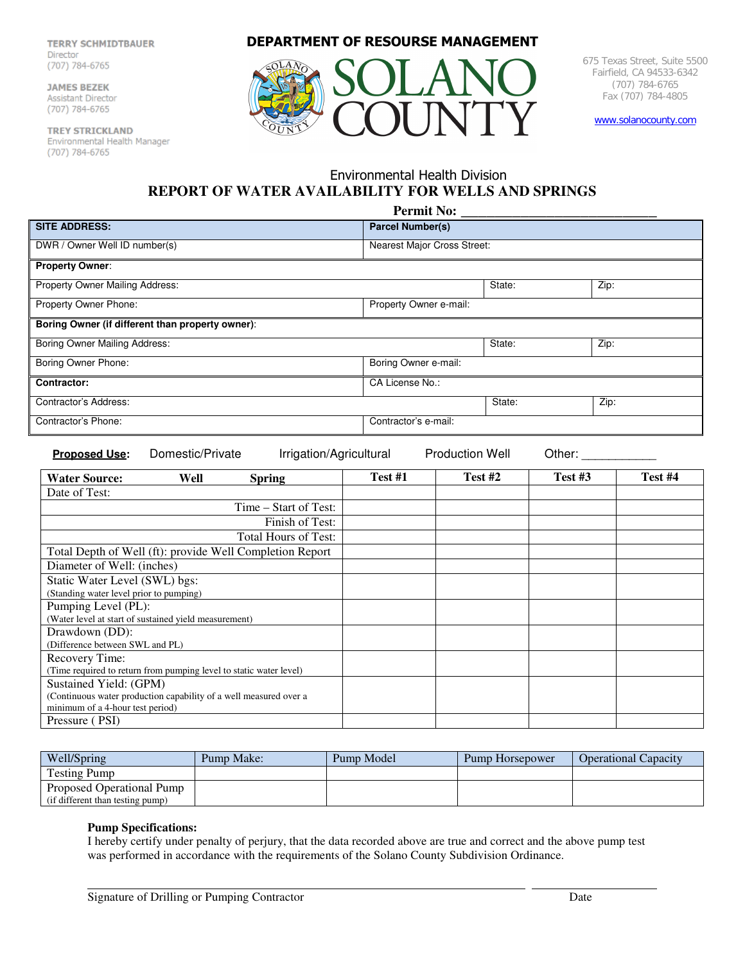**TERRY SCHMIDTBAUER TERRY SCHMIDTBAUER**  Director

JAMES BEZEK<br>Assistant Director  $(707)$  784-6765

TREY STRICKLAND Environmental Health Manager (707) 784-6765

**DEPARTMENT OF RESOURSE MANAGEMENT**



675 Texas Street, Suite 5500 Fairfield, CA 94533-6342 (707) 784-6765 Fax (707) 784-4805

www.solanocounty.com

## Environmental Health Division **REPORT OF WATER AVAILABILITY FOR WELLS AND SPRINGS**

| <b>Permit No:</b>                                                                                       |                             |        |      |  |
|---------------------------------------------------------------------------------------------------------|-----------------------------|--------|------|--|
| <b>SITE ADDRESS:</b>                                                                                    | <b>Parcel Number(s)</b>     |        |      |  |
| DWR / Owner Well ID number(s)                                                                           | Nearest Major Cross Street: |        |      |  |
| <b>Property Owner:</b>                                                                                  |                             |        |      |  |
| Property Owner Mailing Address:                                                                         |                             | State: | Zip: |  |
| Property Owner Phone:                                                                                   | Property Owner e-mail:      |        |      |  |
| Boring Owner (if different than property owner):                                                        |                             |        |      |  |
| Boring Owner Mailing Address:                                                                           |                             | State: | Zip: |  |
| Boring Owner Phone:                                                                                     | Boring Owner e-mail:        |        |      |  |
| <b>Contractor:</b>                                                                                      | CA License No.:             |        |      |  |
| Contractor's Address:                                                                                   |                             | State: | Zip: |  |
| Contractor's Phone:                                                                                     | Contractor's e-mail:        |        |      |  |
| Irrigation/Agricultural<br><b>Production Well</b><br>Domestic/Private<br>Other:<br><b>Proposed Use:</b> |                             |        |      |  |

| <b>Water Source:</b><br>Well<br><b>Spring</b>                      | Test #1 | Test #2 | Test #3 | Test #4 |
|--------------------------------------------------------------------|---------|---------|---------|---------|
| Date of Test:                                                      |         |         |         |         |
| Time – Start of Test:                                              |         |         |         |         |
| Finish of Test:                                                    |         |         |         |         |
| Total Hours of Test:                                               |         |         |         |         |
| Total Depth of Well (ft): provide Well Completion Report           |         |         |         |         |
| Diameter of Well: (inches)                                         |         |         |         |         |
| Static Water Level (SWL) bgs:                                      |         |         |         |         |
| (Standing water level prior to pumping)                            |         |         |         |         |
| Pumping Level (PL):                                                |         |         |         |         |
| (Water level at start of sustained yield measurement)              |         |         |         |         |
| Drawdown (DD):                                                     |         |         |         |         |
| (Difference between SWL and PL)                                    |         |         |         |         |
| Recovery Time:                                                     |         |         |         |         |
| (Time required to return from pumping level to static water level) |         |         |         |         |
| Sustained Yield: (GPM)                                             |         |         |         |         |
| (Continuous water production capability of a well measured over a  |         |         |         |         |
| minimum of a 4-hour test period)                                   |         |         |         |         |
| Pressure (PSI)                                                     |         |         |         |         |

| Well/Spring                      | Pump Make: | Pump Model | Pump Horsepower | <b>Operational Capacity</b> |
|----------------------------------|------------|------------|-----------------|-----------------------------|
| <b>Testing Pump</b>              |            |            |                 |                             |
| Proposed Operational Pump        |            |            |                 |                             |
| (if different than testing pump) |            |            |                 |                             |

## **Pump Specifications:**

I hereby certify under penalty of perjury, that the data recorded above are true and correct and the above pump test was performed in accordance with the requirements of the Solano County Subdivision Ordinance.